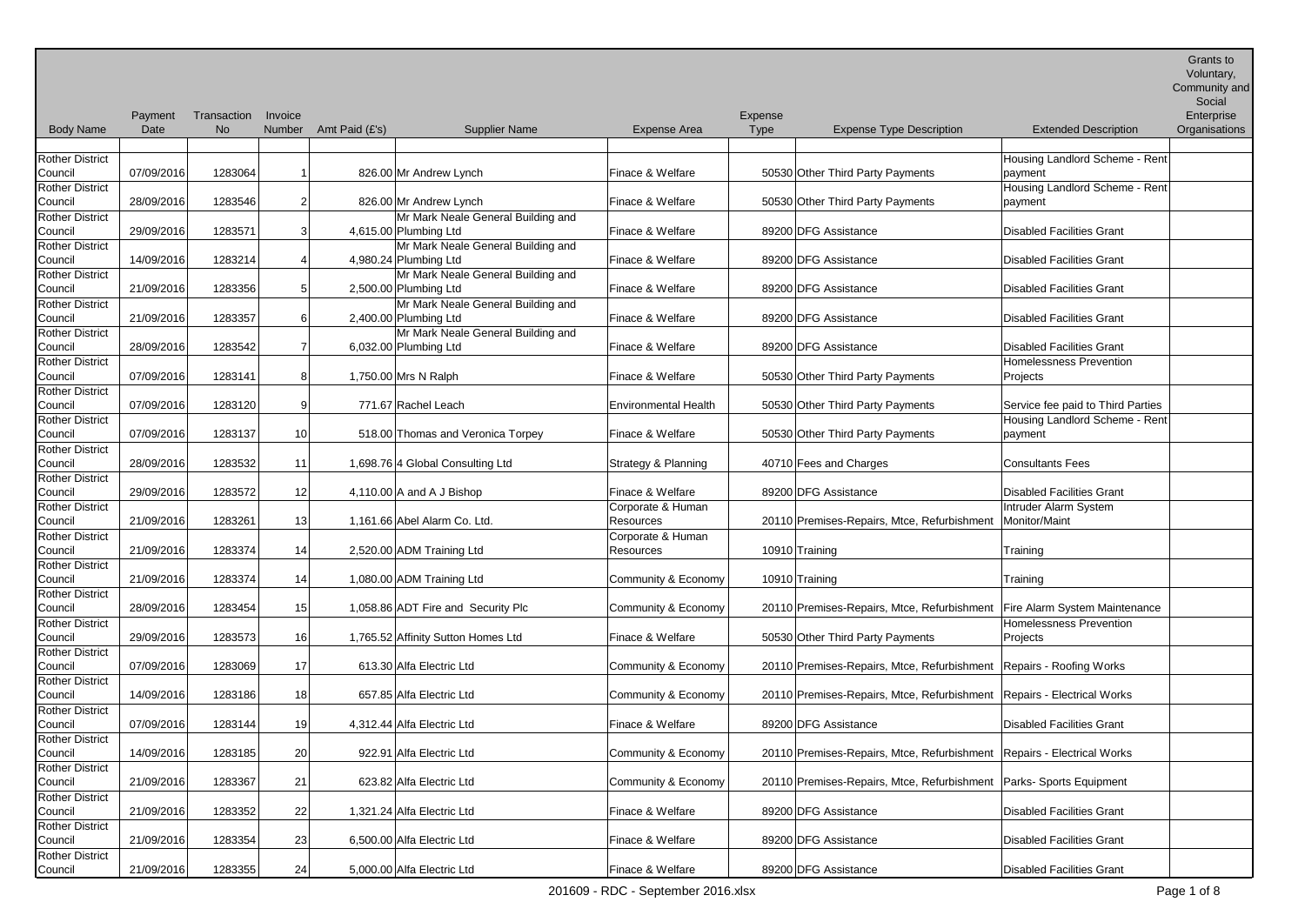Community and

|                        |            |             |                 |                       |                                    |                             |             |                                                                        |                                   | Social        |
|------------------------|------------|-------------|-----------------|-----------------------|------------------------------------|-----------------------------|-------------|------------------------------------------------------------------------|-----------------------------------|---------------|
|                        | Payment    | Transaction | Invoice         |                       |                                    |                             | Expense     |                                                                        |                                   | Enterprise    |
| <b>Body Name</b>       | Date       | <b>No</b>   |                 | Number Amt Paid (£'s) | <b>Supplier Name</b>               | <b>Expense Area</b>         | <b>Type</b> | <b>Expense Type Description</b>                                        | <b>Extended Description</b>       | Organisations |
|                        |            |             |                 |                       |                                    |                             |             |                                                                        |                                   |               |
| <b>Rother District</b> |            |             |                 |                       |                                    |                             |             |                                                                        | Housing Landlord Scheme - Rent    |               |
| Council                | 07/09/2016 | 1283064     |                 |                       | 826.00 Mr Andrew Lynch             | Finace & Welfare            |             | 50530 Other Third Party Payments                                       | payment                           |               |
| <b>Rother District</b> |            |             |                 |                       |                                    |                             |             |                                                                        | Housing Landlord Scheme - Rent    |               |
| Council                | 28/09/2016 | 1283546     | $\overline{2}$  |                       | 826.00 Mr Andrew Lynch             | Finace & Welfare            |             | 50530 Other Third Party Payments                                       | payment                           |               |
| <b>Rother District</b> |            |             |                 |                       | Mr Mark Neale General Building and |                             |             |                                                                        |                                   |               |
| Council                | 29/09/2016 | 1283571     |                 |                       | 4,615.00 Plumbing Ltd              | Finace & Welfare            |             | 89200 DFG Assistance                                                   | <b>Disabled Facilities Grant</b>  |               |
| <b>Rother District</b> |            |             |                 |                       | Mr Mark Neale General Building and |                             |             |                                                                        |                                   |               |
| Council                | 14/09/2016 | 1283214     |                 |                       | 4,980.24 Plumbing Ltd              | Finace & Welfare            |             | 89200 DFG Assistance                                                   | <b>Disabled Facilities Grant</b>  |               |
| <b>Rother District</b> |            |             |                 |                       | Mr Mark Neale General Building and |                             |             |                                                                        |                                   |               |
| Council                | 21/09/2016 | 1283356     |                 |                       | 2,500.00 Plumbing Ltd              | Finace & Welfare            |             | 89200 DFG Assistance                                                   | <b>Disabled Facilities Grant</b>  |               |
| <b>Rother District</b> |            |             |                 |                       | Mr Mark Neale General Building and |                             |             |                                                                        |                                   |               |
| Council                | 21/09/2016 | 1283357     |                 |                       | 2,400.00 Plumbing Ltd              | Finace & Welfare            |             | 89200 DFG Assistance                                                   | <b>Disabled Facilities Grant</b>  |               |
| <b>Rother District</b> |            |             |                 |                       | Mr Mark Neale General Building and |                             |             |                                                                        |                                   |               |
| Council                | 28/09/2016 | 1283542     |                 |                       | 6,032.00 Plumbing Ltd              | Finace & Welfare            |             | 89200 DFG Assistance                                                   | <b>Disabled Facilities Grant</b>  |               |
| <b>Rother District</b> |            |             |                 |                       |                                    |                             |             |                                                                        | <b>Homelessness Prevention</b>    |               |
| Council                | 07/09/2016 | 1283141     | 8               |                       | 1,750.00 Mrs N Ralph               | Finace & Welfare            |             | 50530 Other Third Party Payments                                       | Projects                          |               |
| <b>Rother District</b> |            |             |                 |                       |                                    |                             |             |                                                                        |                                   |               |
| Council                | 07/09/2016 | 1283120     |                 |                       | 771.67 Rachel Leach                | <b>Environmental Health</b> |             | 50530 Other Third Party Payments                                       | Service fee paid to Third Parties |               |
| <b>Rother District</b> |            |             |                 |                       |                                    |                             |             |                                                                        | Housing Landlord Scheme - Rent    |               |
| Council                | 07/09/2016 | 1283137     | 10 <sup>1</sup> |                       | 518.00 Thomas and Veronica Torpey  | Finace & Welfare            |             | 50530 Other Third Party Payments                                       | payment                           |               |
| <b>Rother District</b> |            |             |                 |                       |                                    |                             |             |                                                                        |                                   |               |
| Council                | 28/09/2016 | 1283532     | 11              |                       | 1,698.76 4 Global Consulting Ltd   | Strategy & Planning         |             | 40710 Fees and Charges                                                 | <b>Consultants Fees</b>           |               |
| <b>Rother District</b> |            |             |                 |                       |                                    |                             |             |                                                                        |                                   |               |
| Council                | 29/09/2016 | 1283572     | 12              |                       | 4,110.00 A and A J Bishop          | Finace & Welfare            |             | 89200 DFG Assistance                                                   | <b>Disabled Facilities Grant</b>  |               |
| <b>Rother District</b> |            |             |                 |                       |                                    | Corporate & Human           |             |                                                                        | Intruder Alarm System             |               |
| Council                | 21/09/2016 | 1283261     | 13              |                       | 1,161.66 Abel Alarm Co. Ltd.       | Resources                   |             | 20110 Premises-Repairs, Mtce, Refurbishment                            | Monitor/Maint                     |               |
| <b>Rother District</b> |            |             |                 |                       |                                    | Corporate & Human           |             |                                                                        |                                   |               |
| Council                | 21/09/2016 | 1283374     | 14              |                       | 2,520.00 ADM Training Ltd          | Resources                   |             | 10910 Training                                                         | Training                          |               |
| <b>Rother District</b> |            |             |                 |                       |                                    |                             |             |                                                                        |                                   |               |
| Council                | 21/09/2016 | 1283374     | 14              |                       | 1,080.00 ADM Training Ltd          | Community & Economy         |             | 10910 Training                                                         | Training                          |               |
| <b>Rother District</b> |            |             |                 |                       |                                    |                             |             |                                                                        |                                   |               |
| Council                | 28/09/2016 | 1283454     | 15              |                       | 1,058.86 ADT Fire and Security Plc | Community & Economy         |             | 20110 Premises-Repairs, Mtce, Refurbishment                            | Fire Alarm System Maintenance     |               |
| <b>Rother District</b> |            |             |                 |                       |                                    |                             |             |                                                                        | Homelessness Prevention           |               |
| Council                | 29/09/2016 | 1283573     | 16              |                       | 1,765.52 Affinity Sutton Homes Ltd | Finace & Welfare            |             | 50530 Other Third Party Payments                                       | Projects                          |               |
| <b>Rother District</b> |            |             |                 |                       |                                    |                             |             |                                                                        |                                   |               |
| Council                | 07/09/2016 | 1283069     | 17              |                       | 613.30 Alfa Electric Ltd           | Community & Economy         |             | 20110 Premises-Repairs, Mtce, Refurbishment Repairs - Roofing Works    |                                   |               |
| <b>Rother District</b> |            |             |                 |                       |                                    |                             |             |                                                                        |                                   |               |
| Council                | 14/09/2016 | 1283186     | 18 <sup>1</sup> |                       | 657.85 Alfa Electric Ltd           | Community & Economy         |             | 20110 Premises-Repairs, Mtce, Refurbishment Repairs - Electrical Works |                                   |               |
| <b>Rother District</b> |            |             |                 |                       |                                    |                             |             |                                                                        |                                   |               |
| Council                | 07/09/2016 | 1283144     | 19              |                       | 4,312.44 Alfa Electric Ltd         | Finace & Welfare            |             | 89200 DFG Assistance                                                   | <b>Disabled Facilities Grant</b>  |               |
| <b>Rother District</b> |            |             |                 |                       |                                    |                             |             |                                                                        |                                   |               |
| Council                | 14/09/2016 | 1283185     | 20 <sub>2</sub> |                       | 922.91 Alfa Electric Ltd           | Community & Economy         |             | 20110 Premises-Repairs, Mtce, Refurbishment Repairs - Electrical Works |                                   |               |
| <b>Rother District</b> |            |             |                 |                       |                                    |                             |             |                                                                        |                                   |               |
| Council                | 21/09/2016 | 1283367     | 21              |                       | 623.82 Alfa Electric Ltd           | Community & Economy         |             | 20110 Premises-Repairs, Mtce, Refurbishment   Parks- Sports Equipment  |                                   |               |
| <b>Rother District</b> |            |             |                 |                       |                                    |                             |             |                                                                        |                                   |               |
| Council                | 21/09/2016 | 1283352     | 22              |                       | 1,321.24 Alfa Electric Ltd         | Finace & Welfare            |             | 89200 DFG Assistance                                                   | <b>Disabled Facilities Grant</b>  |               |
| <b>Rother District</b> |            |             |                 |                       |                                    |                             |             |                                                                        |                                   |               |
| Council                | 21/09/2016 | 1283354     | 23              |                       | 6,500.00 Alfa Electric Ltd         | Finace & Welfare            |             | 89200 DFG Assistance                                                   | <b>Disabled Facilities Grant</b>  |               |
| <b>Rother District</b> |            |             |                 |                       |                                    |                             |             |                                                                        |                                   |               |
| Council                | 21/09/2016 | 1283355     | 24              |                       | 5,000.00 Alfa Electric Ltd         | Finace & Welfare            |             | 89200 DFG Assistance                                                   | <b>Disabled Facilities Grant</b>  |               |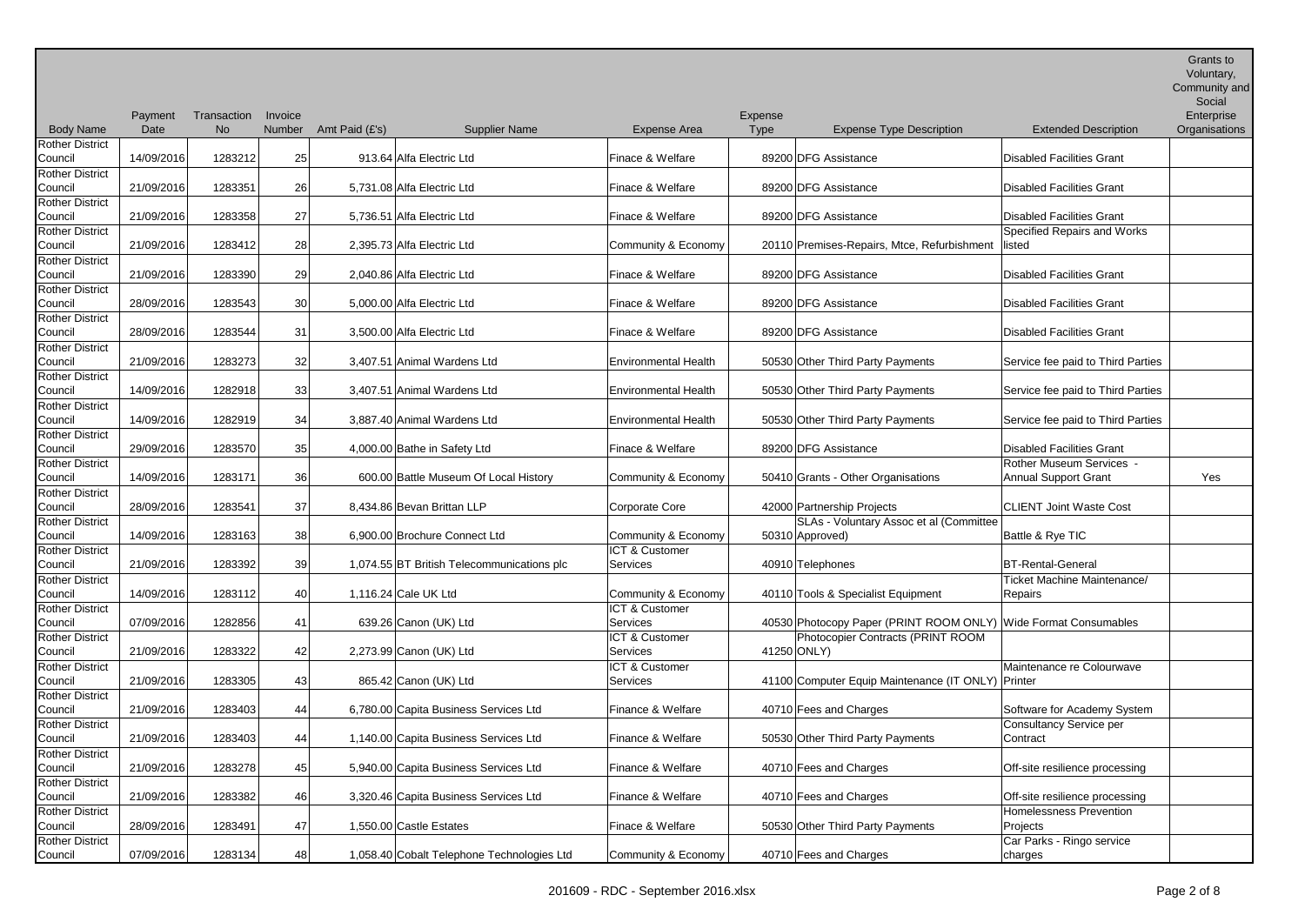Community and

| <b>Body Name</b>       | Payment<br>Date | Transaction<br><b>No</b> | Invoice<br>Number | Amt Paid (£'s) | <b>Supplier Name</b>                       | <b>Expense Area</b>         | Expense<br>Type | <b>Expense Type Description</b>                                 | <b>Extended Description</b>       | Social<br>Enterprise<br>Organisations |
|------------------------|-----------------|--------------------------|-------------------|----------------|--------------------------------------------|-----------------------------|-----------------|-----------------------------------------------------------------|-----------------------------------|---------------------------------------|
| <b>Rother District</b> |                 |                          |                   |                |                                            |                             |                 |                                                                 |                                   |                                       |
| Council                | 14/09/2016      | 1283212                  | 25                |                | 913.64 Alfa Electric Ltd                   | Finace & Welfare            |                 | 89200 DFG Assistance                                            | <b>Disabled Facilities Grant</b>  |                                       |
| <b>Rother District</b> |                 |                          |                   |                |                                            |                             |                 |                                                                 |                                   |                                       |
| Council                | 21/09/2016      | 1283351                  | 26                |                | 5,731.08 Alfa Electric Ltd                 | Finace & Welfare            |                 | 89200 DFG Assistance                                            | <b>Disabled Facilities Grant</b>  |                                       |
| <b>Rother District</b> |                 |                          |                   |                |                                            |                             |                 |                                                                 |                                   |                                       |
| Council                | 21/09/2016      | 1283358                  | 27                |                | 5,736.51 Alfa Electric Ltd                 | Finace & Welfare            |                 | 89200 DFG Assistance                                            | <b>Disabled Facilities Grant</b>  |                                       |
| <b>Rother District</b> |                 |                          |                   |                |                                            |                             |                 |                                                                 | Specified Repairs and Works       |                                       |
| Council                | 21/09/2016      | 1283412                  | 28                |                | 2,395.73 Alfa Electric Ltd                 | Community & Economy         |                 | 20110 Premises-Repairs, Mtce, Refurbishment                     | listed                            |                                       |
| Rother District        |                 |                          |                   |                |                                            |                             |                 |                                                                 |                                   |                                       |
| Council                | 21/09/2016      | 1283390                  | 29                |                | 2,040.86 Alfa Electric Ltd                 | Finace & Welfare            |                 | 89200 DFG Assistance                                            | <b>Disabled Facilities Grant</b>  |                                       |
| Rother District        |                 |                          |                   |                |                                            |                             |                 |                                                                 |                                   |                                       |
| Council                | 28/09/2016      | 1283543                  | 30                |                | 5,000.00 Alfa Electric Ltd                 | Finace & Welfare            |                 | 89200 DFG Assistance                                            | <b>Disabled Facilities Grant</b>  |                                       |
| <b>Rother District</b> |                 |                          |                   |                |                                            |                             |                 |                                                                 |                                   |                                       |
| Council                | 28/09/2016      | 1283544                  | 31                |                | 3,500.00 Alfa Electric Ltd                 | Finace & Welfare            |                 | 89200 DFG Assistance                                            | <b>Disabled Facilities Grant</b>  |                                       |
| Rother District        |                 |                          |                   |                |                                            |                             |                 |                                                                 |                                   |                                       |
| Council                | 21/09/2016      | 1283273                  | 32                |                | 3,407.51 Animal Wardens Ltd                | <b>Environmental Health</b> |                 | 50530 Other Third Party Payments                                | Service fee paid to Third Parties |                                       |
| <b>Rother District</b> |                 |                          |                   |                |                                            |                             |                 |                                                                 |                                   |                                       |
| Council                | 14/09/2016      | 1282918                  | 33                |                | 3,407.51 Animal Wardens Ltd                | <b>Environmental Health</b> |                 | 50530 Other Third Party Payments                                | Service fee paid to Third Parties |                                       |
| Rother District        |                 |                          |                   |                |                                            |                             |                 |                                                                 |                                   |                                       |
| Council                | 14/09/2016      | 1282919                  | 34                |                | 3,887.40 Animal Wardens Ltd                | Environmental Health        |                 | 50530 Other Third Party Payments                                | Service fee paid to Third Parties |                                       |
| <b>Rother District</b> |                 |                          |                   |                |                                            |                             |                 |                                                                 |                                   |                                       |
| Council                | 29/09/2016      | 1283570                  | 35                |                | 4,000.00 Bathe in Safety Ltd               | Finace & Welfare            |                 | 89200 DFG Assistance                                            | <b>Disabled Facilities Grant</b>  |                                       |
| <b>Rother District</b> |                 |                          |                   |                |                                            |                             |                 |                                                                 | Rother Museum Services -          |                                       |
| Council                | 14/09/2016      | 1283171                  | 36 <sup>1</sup>   |                | 600.00 Battle Museum Of Local History      | Community & Economy         |                 | 50410 Grants - Other Organisations                              | <b>Annual Support Grant</b>       | Yes                                   |
| <b>Rother District</b> |                 |                          |                   |                |                                            |                             |                 |                                                                 |                                   |                                       |
| Council                | 28/09/2016      | 1283541                  | 37                |                | 8,434.86 Bevan Brittan LLP                 | Corporate Core              |                 | 42000 Partnership Projects                                      | <b>CLIENT Joint Waste Cost</b>    |                                       |
| Rother District        |                 |                          |                   |                |                                            |                             |                 | SLAs - Voluntary Assoc et al (Committee                         |                                   |                                       |
| Council                | 14/09/2016      | 1283163                  | 38                |                | 6,900.00 Brochure Connect Ltd              | Community & Economy         |                 | 50310 Approved)                                                 | Battle & Rye TIC                  |                                       |
| Rother District        |                 |                          |                   |                |                                            | ICT & Customer              |                 |                                                                 |                                   |                                       |
| Council                | 21/09/2016      | 1283392                  | 39                |                | 1,074.55 BT British Telecommunications plc | Services                    |                 | 40910 Telephones                                                | <b>BT-Rental-General</b>          |                                       |
| <b>Rother District</b> |                 |                          |                   |                |                                            |                             |                 |                                                                 | Ticket Machine Maintenance/       |                                       |
| Council                | 14/09/2016      | 1283112                  | 40                |                | 1,116.24 Cale UK Ltd                       | Community & Economy         |                 | 40110 Tools & Specialist Equipment                              | <b>Repairs</b>                    |                                       |
| <b>Rother District</b> |                 |                          |                   |                |                                            | ICT & Customer              |                 |                                                                 |                                   |                                       |
| Council                | 07/09/2016      | 1282856                  | 41                |                | 639.26 Canon (UK) Ltd                      | Services                    |                 | 40530 Photocopy Paper (PRINT ROOM ONLY) Wide Format Consumables |                                   |                                       |
| <b>Rother District</b> |                 |                          |                   |                |                                            | ICT & Customer              |                 | Photocopier Contracts (PRINT ROOM                               |                                   |                                       |
| Council                | 21/09/2016      | 1283322                  | 42                |                | 2,273.99 Canon (UK) Ltd                    | Services                    |                 | 41250 ONLY)                                                     |                                   |                                       |
| <b>Rother District</b> |                 |                          |                   |                |                                            | ICT & Customer              |                 |                                                                 | Maintenance re Colourwave         |                                       |
| Council                | 21/09/2016      | 1283305                  | 43                |                | 865.42 Canon (UK) Ltd                      | Services                    |                 | 41100 Computer Equip Maintenance (IT ONLY) Printer              |                                   |                                       |
| <b>Rother District</b> |                 |                          |                   |                |                                            |                             |                 |                                                                 |                                   |                                       |
| Council                | 21/09/2016      | 1283403                  | 44                |                | 6,780.00 Capita Business Services Ltd      | Finance & Welfare           |                 | 40710 Fees and Charges                                          | Software for Academy System       |                                       |
| <b>Rother District</b> |                 |                          |                   |                |                                            |                             |                 |                                                                 | <b>Consultancy Service per</b>    |                                       |
| Council                | 21/09/2016      | 1283403                  | 44                |                | 1,140.00 Capita Business Services Ltd      | Finance & Welfare           |                 | 50530 Other Third Party Payments                                | Contract                          |                                       |
| <b>Rother District</b> |                 |                          |                   |                |                                            |                             |                 |                                                                 |                                   |                                       |
| Council                | 21/09/2016      | 1283278                  | 45                |                | 5,940.00 Capita Business Services Ltd      | Finance & Welfare           |                 | 40710 Fees and Charges                                          | Off-site resilience processing    |                                       |
| <b>Rother District</b> |                 |                          |                   |                |                                            |                             |                 |                                                                 |                                   |                                       |
| Council                | 21/09/2016      | 1283382                  | 46                |                | 3,320.46 Capita Business Services Ltd      | Finance & Welfare           |                 | 40710 Fees and Charges                                          | Off-site resilience processing    |                                       |
| <b>Rother District</b> |                 |                          |                   |                |                                            |                             |                 |                                                                 | Homelessness Prevention           |                                       |
| Council                | 28/09/2016      | 1283491                  | 47                |                | 1,550.00 Castle Estates                    | Finace & Welfare            |                 | 50530 Other Third Party Payments                                | Projects                          |                                       |
| Rother District        |                 |                          |                   |                |                                            |                             |                 |                                                                 | Car Parks - Ringo service         |                                       |

Council 07/09/2016 1283134 48 1,058.40 Cobalt Telephone Technologies Ltd Community & Economy 40710 Fees and Charges

charges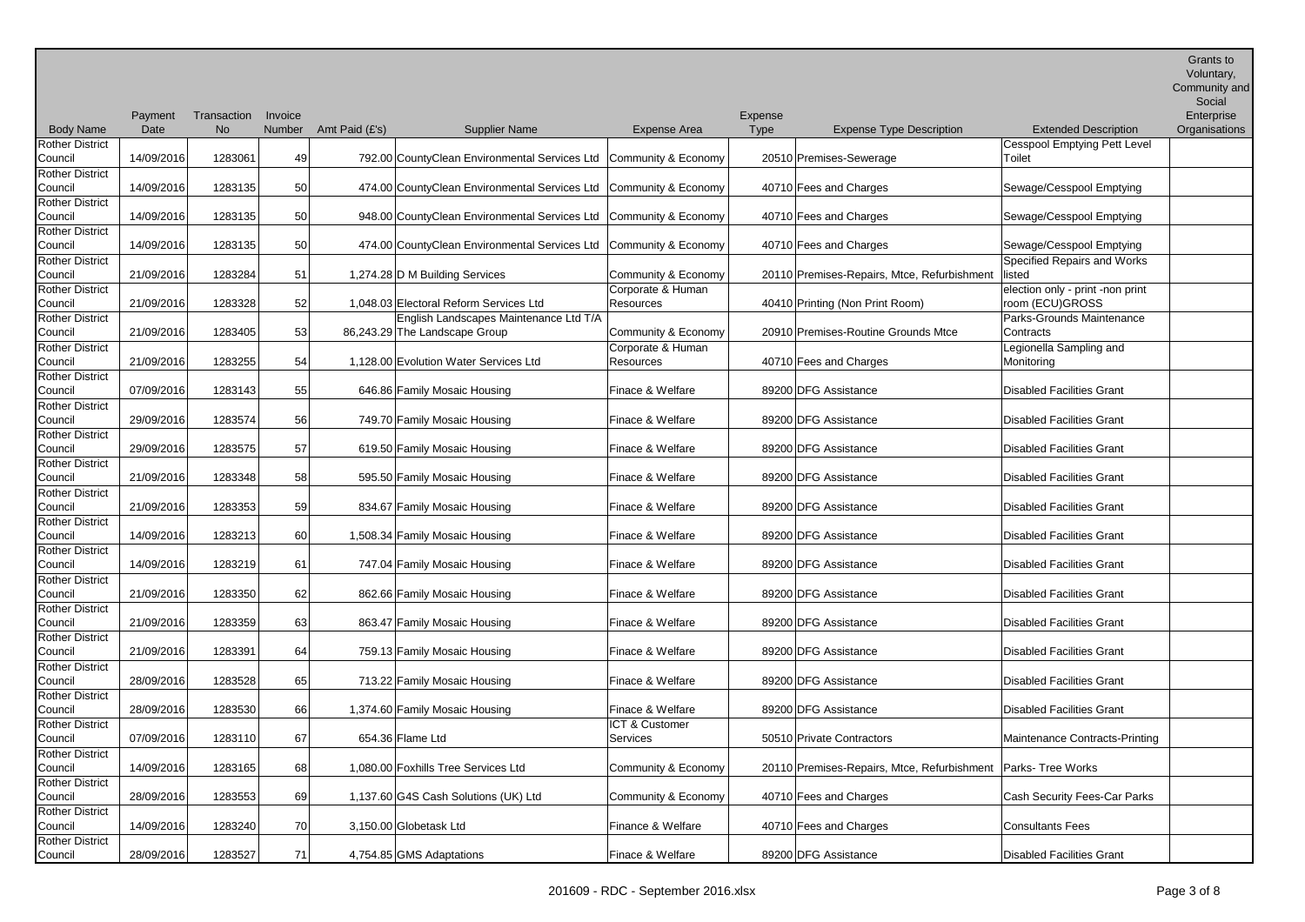Community and Social

|                               |                                  | Enterprise   |
|-------------------------------|----------------------------------|--------------|
| xpense Type Description       | <b>Extended Description</b>      | Organisation |
|                               | Cesspool Emptying Pett Level     |              |
| -Sewerage                     | Toilet                           |              |
|                               |                                  |              |
| Charges                       | Sewage/Cesspool Emptying         |              |
|                               |                                  |              |
| Charges                       | Sewage/Cesspool Emptying         |              |
|                               |                                  |              |
| Charges                       | Sewage/Cesspool Emptying         |              |
|                               | Specified Repairs and Works      |              |
| -Repairs, Mtce, Refurbishment | listed                           |              |
|                               | election only - print -non print |              |
| Non Print Room)               | room (ECU)GROSS                  |              |
|                               | Parks-Grounds Maintenance        |              |
| -Routine Grounds Mtce         | Contracts                        |              |
|                               | Legionella Sampling and          |              |
| Charges                       | Monitoring                       |              |
|                               |                                  |              |
| istance                       | <b>Disabled Facilities Grant</b> |              |
|                               |                                  |              |
| istance                       | <b>Disabled Facilities Grant</b> |              |
|                               |                                  |              |
| istance                       | <b>Disabled Facilities Grant</b> |              |
|                               |                                  |              |
|                               |                                  |              |

|                        | Payment    | Transaction | Invoice |                |                                                                   |                     | Expense     |                                             |                                  | Enterprise    |
|------------------------|------------|-------------|---------|----------------|-------------------------------------------------------------------|---------------------|-------------|---------------------------------------------|----------------------------------|---------------|
| <b>Body Name</b>       | Date       | <b>No</b>   | Number  | Amt Paid (£'s) | <b>Supplier Name</b>                                              | Expense Area        | <b>Type</b> | <b>Expense Type Description</b>             | <b>Extended Description</b>      | Organisations |
| <b>Rother District</b> |            |             |         |                |                                                                   |                     |             |                                             | Cesspool Emptying Pett Level     |               |
| Council                | 14/09/2016 | 1283061     | 49      |                | 792.00 CountyClean Environmental Services Ltd Community & Economy |                     |             | 20510 Premises-Sewerage                     | Toilet                           |               |
| <b>Rother District</b> |            |             |         |                |                                                                   |                     |             |                                             |                                  |               |
| Council                | 14/09/2016 | 1283135     | 50      |                | 474.00 CountyClean Environmental Services Ltd Community & Economy |                     |             | 40710 Fees and Charges                      | Sewage/Cesspool Emptying         |               |
| <b>Rother District</b> |            |             |         |                |                                                                   |                     |             |                                             |                                  |               |
| Council                | 14/09/2016 | 1283135     | 50      |                | 948.00 CountyClean Environmental Services Ltd Community & Economy |                     |             | 40710 Fees and Charges                      | Sewage/Cesspool Emptying         |               |
| <b>Rother District</b> |            |             |         |                |                                                                   |                     |             |                                             |                                  |               |
| Council                | 14/09/2016 | 1283135     | 50      |                | 474.00 CountyClean Environmental Services Ltd Community & Economy |                     |             | 40710 Fees and Charges                      | Sewage/Cesspool Emptying         |               |
| <b>Rother District</b> |            |             |         |                |                                                                   |                     |             |                                             | Specified Repairs and Works      |               |
| Council                | 21/09/2016 | 1283284     | 51      |                | 1,274.28 D M Building Services                                    | Community & Economy |             | 20110 Premises-Repairs, Mtce, Refurbishment | listed                           |               |
| <b>Rother District</b> |            |             |         |                |                                                                   | Corporate & Human   |             |                                             | election only - print -non print |               |
| Council                | 21/09/2016 | 1283328     | 52      |                | 1,048.03 Electoral Reform Services Ltd                            | Resources           |             | 40410 Printing (Non Print Room)             | room (ECU)GROSS                  |               |
| <b>Rother District</b> |            |             |         |                | English Landscapes Maintenance Ltd T/A                            |                     |             |                                             | Parks-Grounds Maintenance        |               |
| Council                | 21/09/2016 | 1283405     | 53      |                | 86,243.29 The Landscape Group                                     | Community & Economy |             | 20910 Premises-Routine Grounds Mtce         | Contracts                        |               |
| <b>Rother District</b> |            |             |         |                |                                                                   | Corporate & Human   |             |                                             | Legionella Sampling and          |               |
| Council                | 21/09/2016 | 1283255     | 54      |                | 1,128.00 Evolution Water Services Ltd                             | <b>Resources</b>    |             | 40710 Fees and Charges                      | Monitoring                       |               |
| <b>Rother District</b> |            |             |         |                |                                                                   |                     |             |                                             |                                  |               |
| Council                | 07/09/2016 | 1283143     | 55      |                | 646.86 Family Mosaic Housing                                      | Finace & Welfare    |             | 89200 DFG Assistance                        | <b>Disabled Facilities Grant</b> |               |
| <b>Rother District</b> |            |             |         |                |                                                                   |                     |             |                                             |                                  |               |
| Council                | 29/09/2016 | 1283574     | 56      |                | 749.70 Family Mosaic Housing                                      | Finace & Welfare    |             | 89200 DFG Assistance                        | <b>Disabled Facilities Grant</b> |               |
| <b>Rother District</b> |            |             |         |                |                                                                   |                     |             |                                             |                                  |               |
| Council                | 29/09/2016 | 1283575     | 57      |                | 619.50 Family Mosaic Housing                                      | Finace & Welfare    |             | 89200 DFG Assistance                        | <b>Disabled Facilities Grant</b> |               |
| <b>Rother District</b> |            |             |         |                |                                                                   |                     |             |                                             |                                  |               |
| Council                | 21/09/2016 | 1283348     | 58      |                | 595.50 Family Mosaic Housing                                      | Finace & Welfare    |             | 89200 DFG Assistance                        | <b>Disabled Facilities Grant</b> |               |
| <b>Rother District</b> |            |             |         |                |                                                                   |                     |             |                                             |                                  |               |
| Council                | 21/09/2016 | 1283353     | 59      |                | 834.67 Family Mosaic Housing                                      | Finace & Welfare    |             | 89200 DFG Assistance                        | <b>Disabled Facilities Grant</b> |               |
| <b>Rother District</b> |            |             |         |                |                                                                   |                     |             |                                             |                                  |               |
| Council                | 14/09/2016 | 1283213     | 60      |                | 1,508.34 Family Mosaic Housing                                    | Finace & Welfare    |             | 89200 DFG Assistance                        | <b>Disabled Facilities Grant</b> |               |
| <b>Rother District</b> |            |             |         |                |                                                                   |                     |             |                                             |                                  |               |
| Council                | 14/09/2016 | 1283219     | 61      |                | 747.04 Family Mosaic Housing                                      | Finace & Welfare    |             | 89200 DFG Assistance                        | Disabled Facilities Grant        |               |
| <b>Rother District</b> |            |             |         |                |                                                                   |                     |             |                                             |                                  |               |
| Council                | 21/09/2016 | 1283350     | 62      |                | 862.66 Family Mosaic Housing                                      | Finace & Welfare    |             | 89200 DFG Assistance                        | <b>Disabled Facilities Grant</b> |               |
| <b>Rother District</b> |            |             |         |                |                                                                   |                     |             |                                             |                                  |               |
| Council                | 21/09/2016 | 1283359     | 63      |                | 863.47 Family Mosaic Housing                                      | Finace & Welfare    |             | 89200 DFG Assistance                        | <b>Disabled Facilities Grant</b> |               |
| <b>Rother District</b> |            |             |         |                |                                                                   |                     |             |                                             |                                  |               |
| Council                | 21/09/2016 | 1283391     | 64      |                | 759.13 Family Mosaic Housing                                      | Finace & Welfare    |             | 89200 DFG Assistance                        | <b>Disabled Facilities Grant</b> |               |
| <b>Rother District</b> |            |             |         |                |                                                                   |                     |             |                                             |                                  |               |
| Council                | 28/09/2016 | 1283528     | 65      |                | 713.22 Family Mosaic Housing                                      | Finace & Welfare    |             | 89200 DFG Assistance                        | Disabled Facilities Grant        |               |
| <b>Rother District</b> |            |             |         |                |                                                                   |                     |             |                                             |                                  |               |
| Council                | 28/09/2016 | 1283530     | 66      |                | 1,374.60 Family Mosaic Housing                                    | Finace & Welfare    |             | 89200 DFG Assistance                        | Disabled Facilities Grant        |               |
| <b>Rother District</b> |            |             |         |                |                                                                   | ICT & Customer      |             |                                             |                                  |               |
| Council                | 07/09/2016 | 1283110     | 67      |                | 654.36 Flame Ltd                                                  | Services            |             | 50510 Private Contractors                   | Maintenance Contracts-Printing   |               |
| <b>Rother District</b> |            |             |         |                |                                                                   |                     |             |                                             |                                  |               |
| Council                | 14/09/2016 | 1283165     | 68      |                | 1,080.00 Foxhills Tree Services Ltd                               | Community & Economy |             | 20110 Premises-Repairs, Mtce, Refurbishment | Parks-Tree Works                 |               |
| <b>Rother District</b> |            |             |         |                |                                                                   |                     |             |                                             |                                  |               |
| Council                | 28/09/2016 | 1283553     | 69      |                | 1,137.60 G4S Cash Solutions (UK) Ltd                              | Community & Economy |             | 40710 Fees and Charges                      | Cash Security Fees-Car Parks     |               |
| <b>Rother District</b> |            |             |         |                |                                                                   |                     |             |                                             |                                  |               |
| Council                | 14/09/2016 | 1283240     | 70      |                | 3,150.00 Globetask Ltd                                            | Finance & Welfare   |             | 40710 Fees and Charges                      | Consultants Fees                 |               |
| Rother District        |            |             |         |                |                                                                   |                     |             |                                             |                                  |               |
| Council                | 28/09/2016 | 1283527     | 71      |                | 4,754.85 GMS Adaptations                                          | Finace & Welfare    |             | 89200 DFG Assistance                        | Disabled Facilities Grant        |               |
|                        |            |             |         |                |                                                                   |                     |             |                                             |                                  |               |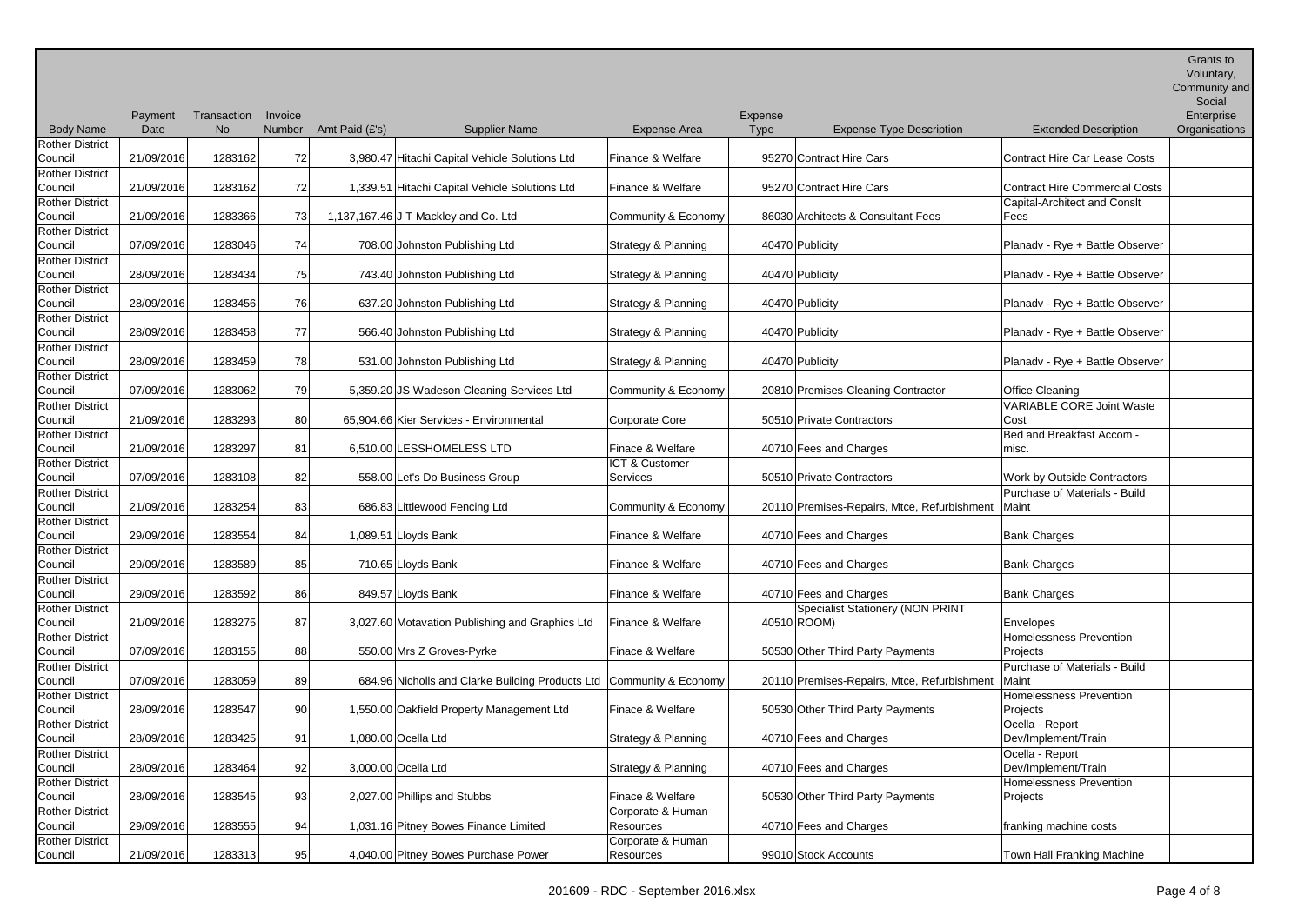| Area    | Expense<br><b>Type</b> | <b>Expense Type Description</b>             | <b>Extended Description</b>              | v viuritai y,<br>Community and<br>Social<br>Enterprise<br>Organisations |
|---------|------------------------|---------------------------------------------|------------------------------------------|-------------------------------------------------------------------------|
| lfare   |                        | 95270 Contract Hire Cars                    | <b>Contract Hire Car Lease Costs</b>     |                                                                         |
| lfare   |                        | 95270 Contract Hire Cars                    | <b>Contract Hire Commercial Costs</b>    |                                                                         |
| Economy |                        | 86030 Architects & Consultant Fees          | Capital-Architect and Conslt<br>Fees     |                                                                         |
| inning  |                        | 40470 Publicity                             | Planadv - Rye + Battle Observer          |                                                                         |
| ınning  |                        | 40470 Publicity                             | Planadv - Rye + Battle Observer          |                                                                         |
| ınning  |                        | 40470 Publicity                             | Planadv - Rye + Battle Observer          |                                                                         |
| ınning  |                        | 40470 Publicity                             | Planadv - Rye + Battle Observer          |                                                                         |
| inning  |                        | 40470 Publicity                             | Planadv - Rye + Battle Observer          |                                                                         |
| Economy |                        | 20810 Premises-Cleaning Contractor          | <b>Office Cleaning</b>                   |                                                                         |
| е       |                        | 50510 Private Contractors                   | <b>VARIABLE CORE Joint Waste</b><br>Cost |                                                                         |
| are     |                        | 40710 Fees and Charges                      | Bed and Breakfast Accom -<br>misc.       |                                                                         |
| er      |                        | 50510 Private Contractors                   | Work by Outside Contractors              |                                                                         |
| Economy |                        | 20110 Premises-Repairs, Mtce, Refurbishment | Purchase of Materials - Build<br>Maint   |                                                                         |
| lfare   |                        | 40710 Fees and Charges                      | <b>Bank Charges</b>                      |                                                                         |
| lfare   |                        | 40710 Fees and Charges                      | <b>Bank Charges</b>                      |                                                                         |
| lfare   |                        | 40710 Fees and Charges                      | <b>Bank Charges</b>                      |                                                                         |
|         |                        | <b>Specialist Stationery (NON PRINT</b>     |                                          |                                                                         |

| <b>Body Name</b>                  | Date       | No      |    | Number Amt Paid (£'s) | <b>Supplier Name</b>                                                 | <b>Expense Area</b>            | Type            | <b>Expense Type Description</b>                     | <b>Extended Description</b>           | Organisations |
|-----------------------------------|------------|---------|----|-----------------------|----------------------------------------------------------------------|--------------------------------|-----------------|-----------------------------------------------------|---------------------------------------|---------------|
| <b>Rother District</b>            |            |         |    |                       |                                                                      |                                |                 |                                                     |                                       |               |
| Council                           | 21/09/2016 | 1283162 | 72 |                       | 3,980.47 Hitachi Capital Vehicle Solutions Ltd                       | Finance & Welfare              |                 | 95270 Contract Hire Cars                            | <b>Contract Hire Car Lease Costs</b>  |               |
| <b>Rother District</b>            |            |         |    |                       |                                                                      |                                |                 |                                                     |                                       |               |
| Council                           | 21/09/2016 | 1283162 | 72 |                       | 1,339.51 Hitachi Capital Vehicle Solutions Ltd                       | Finance & Welfare              |                 | 95270 Contract Hire Cars                            | <b>Contract Hire Commercial Costs</b> |               |
| <b>Rother District</b>            |            |         |    |                       |                                                                      |                                |                 |                                                     | Capital-Architect and Conslt          |               |
| Council                           | 21/09/2016 | 1283366 | 73 |                       | 1,137,167.46 J T Mackley and Co. Ltd                                 | Community & Economy            |                 | 86030 Architects & Consultant Fees                  | Fees                                  |               |
| <b>Rother District</b>            |            |         |    |                       |                                                                      |                                |                 |                                                     |                                       |               |
| Council                           | 07/09/2016 | 1283046 | 74 |                       | 708.00 Johnston Publishing Ltd                                       | Strategy & Planning            | 40470 Publicity |                                                     | Planadv - Rye + Battle Observer       |               |
| <b>Rother District</b>            |            |         |    |                       |                                                                      |                                |                 |                                                     |                                       |               |
| Council                           | 28/09/2016 | 1283434 | 75 |                       | 743.40 Johnston Publishing Ltd                                       | Strategy & Planning            | 40470 Publicity |                                                     | Planadv - Rye + Battle Observer       |               |
| <b>Rother District</b>            |            |         |    |                       |                                                                      |                                |                 |                                                     |                                       |               |
| Council                           | 28/09/2016 | 1283456 | 76 |                       | 637.20 Johnston Publishing Ltd                                       | Strategy & Planning            | 40470 Publicity |                                                     | Planadv - Rye + Battle Observer       |               |
| <b>Rother District</b>            |            |         |    |                       |                                                                      |                                |                 |                                                     |                                       |               |
| Council                           | 28/09/2016 | 1283458 | 77 |                       | 566.40 Johnston Publishing Ltd                                       | Strategy & Planning            | 40470 Publicity |                                                     | Planadv - Rye + Battle Observer       |               |
| <b>Rother District</b>            |            |         |    |                       |                                                                      |                                |                 |                                                     |                                       |               |
| Council                           | 28/09/2016 | 1283459 | 78 |                       | 531.00 Johnston Publishing Ltd                                       | Strategy & Planning            | 40470 Publicity |                                                     | Planadv - Rye + Battle Observer       |               |
| <b>Rother District</b>            |            |         |    |                       |                                                                      |                                |                 |                                                     |                                       |               |
| Council                           | 07/09/2016 | 1283062 | 79 |                       | 5,359.20 JS Wadeson Cleaning Services Ltd                            | Community & Economy            |                 | 20810 Premises-Cleaning Contractor                  | <b>Office Cleaning</b>                |               |
| <b>Rother District</b>            |            |         |    |                       |                                                                      |                                |                 |                                                     | <b>VARIABLE CORE Joint Waste</b>      |               |
| Council                           | 21/09/2016 | 1283293 | 80 |                       | 65,904.66 Kier Services - Environmental                              | <b>Corporate Core</b>          |                 | 50510 Private Contractors                           | Cost                                  |               |
| <b>Rother District</b>            |            |         |    |                       |                                                                      |                                |                 |                                                     | Bed and Breakfast Accom -             |               |
| Council                           | 21/09/2016 | 1283297 | 81 |                       | 6,510.00 LESSHOMELESS LTD                                            | Finace & Welfare               |                 | 40710 Fees and Charges                              | misc.                                 |               |
| <b>Rother District</b>            |            |         |    |                       |                                                                      | ICT & Customer                 |                 |                                                     |                                       |               |
| Council                           | 07/09/2016 | 1283108 | 82 |                       | 558.00 Let's Do Business Group                                       | <b>Services</b>                |                 | 50510 Private Contractors                           | Work by Outside Contractors           |               |
| <b>Rother District</b>            |            |         |    |                       |                                                                      |                                |                 |                                                     | Purchase of Materials - Build         |               |
| Council                           | 21/09/2016 | 1283254 | 83 |                       | 686.83 Littlewood Fencing Ltd                                        | Community & Economy            |                 | 20110 Premises-Repairs, Mtce, Refurbishment         | Maint                                 |               |
| <b>Rother District</b>            |            |         |    |                       |                                                                      |                                |                 |                                                     |                                       |               |
| Council                           | 29/09/2016 | 1283554 | 84 |                       | 1,089.51 Lloyds Bank                                                 | Finance & Welfare              |                 | 40710 Fees and Charges                              | Bank Charges                          |               |
| <b>Rother District</b>            |            |         |    |                       |                                                                      |                                |                 |                                                     |                                       |               |
| Council                           | 29/09/2016 | 1283589 | 85 |                       | 710.65 Lloyds Bank                                                   | Finance & Welfare              |                 | 40710 Fees and Charges                              | Bank Charges                          |               |
| <b>Rother District</b>            |            |         |    |                       |                                                                      |                                |                 |                                                     |                                       |               |
| Council                           | 29/09/2016 | 1283592 | 86 |                       | 849.57 Lloyds Bank                                                   | Finance & Welfare              |                 | 40710 Fees and Charges                              | <b>Bank Charges</b>                   |               |
| <b>Rother District</b>            |            |         |    |                       |                                                                      |                                |                 | Specialist Stationery (NON PRINT                    |                                       |               |
| Council                           | 21/09/2016 | 1283275 | 87 |                       | 3,027.60 Motavation Publishing and Graphics Ltd                      | Finance & Welfare              | 40510 ROOM)     |                                                     | Envelopes                             |               |
| <b>Rother District</b>            |            |         |    |                       |                                                                      |                                |                 |                                                     | <b>Homelessness Prevention</b>        |               |
| Council                           | 07/09/2016 | 1283155 | 88 |                       | 550.00 Mrs Z Groves-Pyrke                                            | Finace & Welfare               |                 | 50530 Other Third Party Payments                    | Projects                              |               |
| <b>Rother District</b>            |            |         |    |                       |                                                                      |                                |                 |                                                     | Purchase of Materials - Build         |               |
| Council                           | 07/09/2016 | 1283059 | 89 |                       | 684.96 Nicholls and Clarke Building Products Ltd Community & Economy |                                |                 | 20110 Premises-Repairs, Mtce, Refurbishment   Maint |                                       |               |
| <b>Rother District</b>            |            |         |    |                       |                                                                      |                                |                 |                                                     | Homelessness Prevention               |               |
| Council                           | 28/09/2016 | 1283547 | 90 |                       | 1,550.00 Oakfield Property Management Ltd                            | Finace & Welfare               |                 | 50530 Other Third Party Payments                    | Projects                              |               |
| <b>Rother District</b>            |            |         |    |                       |                                                                      |                                |                 |                                                     | Ocella - Report                       |               |
| Council                           | 28/09/2016 | 1283425 | 91 |                       | 1,080.00 Ocella Ltd                                                  | Strategy & Planning            |                 | 40710 Fees and Charges                              | Dev/Implement/Train                   |               |
|                                   |            |         |    |                       |                                                                      |                                |                 |                                                     | Ocella - Report                       |               |
| <b>Rother District</b>            | 28/09/2016 | 1283464 |    |                       | 3,000.00 Ocella Ltd                                                  | Strategy & Planning            |                 | 40710 Fees and Charges                              | Dev/Implement/Train                   |               |
| Council<br><b>Rother District</b> |            |         | 92 |                       |                                                                      |                                |                 |                                                     | Homelessness Prevention               |               |
| Council                           | 28/09/2016 | 1283545 |    |                       | 2,027.00 Phillips and Stubbs                                         | Finace & Welfare               |                 | 50530 Other Third Party Payments                    |                                       |               |
|                                   |            |         | 93 |                       |                                                                      |                                |                 |                                                     | Projects                              |               |
| <b>Rother District</b>            |            |         |    |                       |                                                                      | Corporate & Human<br>Resources |                 |                                                     |                                       |               |
| Council                           | 29/09/2016 | 1283555 | 94 |                       | 1,031.16 Pitney Bowes Finance Limited                                |                                |                 | 40710 Fees and Charges                              | franking machine costs                |               |
| <b>Rother District</b>            |            |         |    |                       |                                                                      | Corporate & Human              |                 |                                                     |                                       |               |
| Council                           | 21/09/2016 | 1283313 | 95 |                       | 4,040.00 Pitney Bowes Purchase Power                                 | Resources                      |                 | 99010 Stock Accounts                                | Town Hall Franking Machine            |               |

Payment Transaction Invoice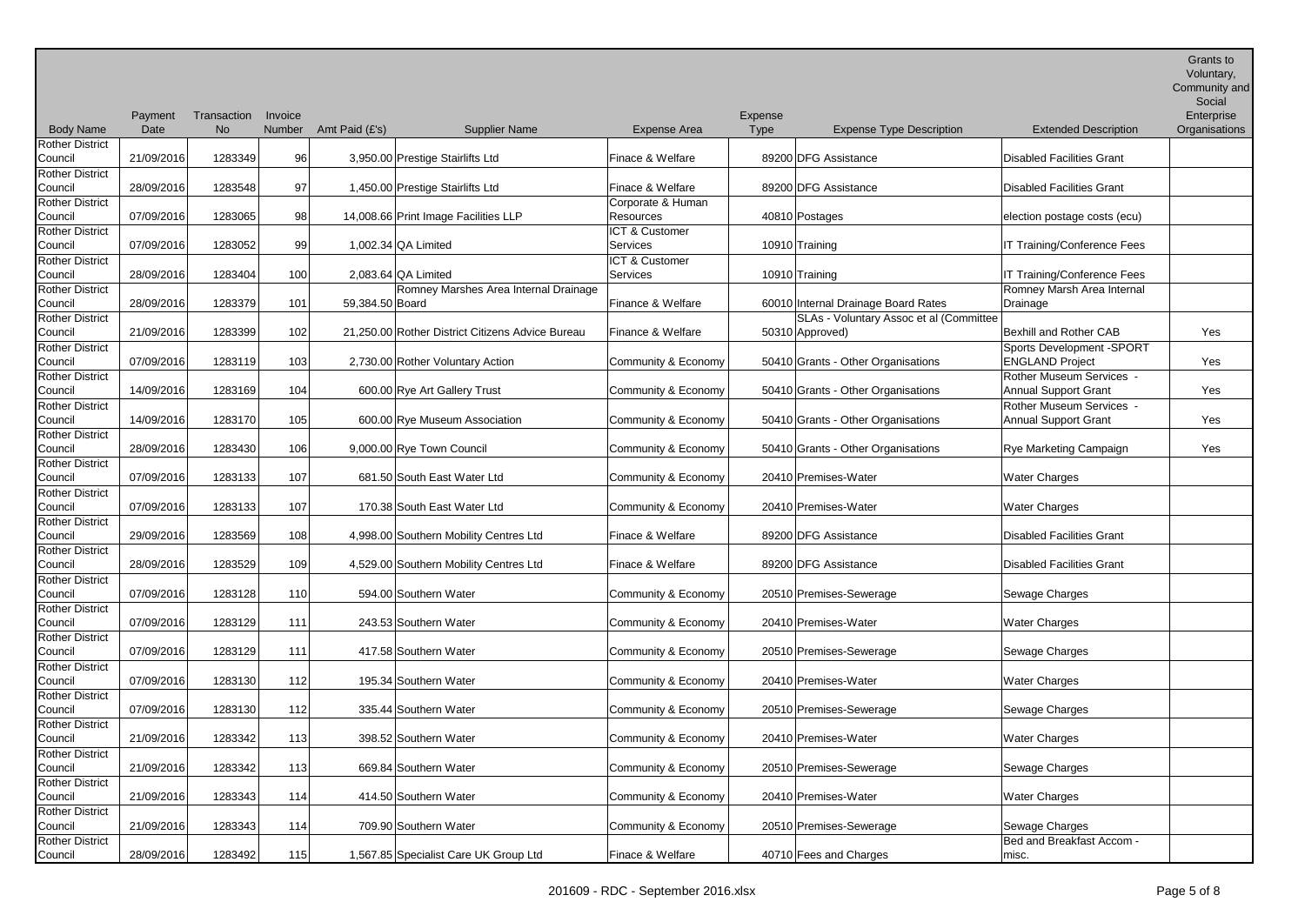Body Name Payment Date Transaction Invoice No Number Amt Paid (£'s) Supplier Name Expense Area Expense Type Expense Type Description Extended Description Community and Social Enterprise **Organisations** Rother District Council 21/09/2016 1283349 96 3,950.00 Prestige Stairlifts Ltd Finace & Welfare 89200 DFG Assistance Disabled Facilities Grant Rother District Council 28/09/2016 1283548 97 1,450.00 Prestige Stairlifts Ltd Finace & Welfare 89200 DFG Assistance Disabled Facilities Grant Rother District Council 07/09/2016 1283065 98 14,008.66 Print Image Facilities LLP Corporate & Human Resources and the 40810 Postages election postage costs (ecu) Rother District Council 07/09/2016 1283052 99 1,002.34 QA Limited ICT & Customer Services 10910 Training 10910 Training IT Training/Conference Fees Rother District Council 28/09/2016 1283404 100 2,083.64 QA Limited ICT & Customer Services 10910 Training 10910 Training IT Training/Conference Fees Rother District Council | 28/09/2016 | 1283379 | 101 | 59,384.50 | Board Romney Marshes Area Internal Drainage Finance & Welfare **60010** Internal Drainage Board Rates Romney Marsh Area Internal Drainage Rother District Council 21/09/2016 1283399 102 21,250.00 Rother District Citizens Advice Bureau Finance & Welfare 50310 Approved) SLAs - Voluntary Assoc et al (Committee Bexhill and Rother CAB The Yes Rother District Council 07/09/2016 1283119 103 2,730.00 Rother Voluntary Action Community & Economy 50410 Grants - Other Organisations Sports Development -SPORT **ENGLAND Project Washington** Yes Rother District Council | 14/09/2016 1283169 104 600.00 Rye Art Gallery Trust Community & Economy 50410 Grants - Other Organisations Rother Museum Services - Annual Support Grant The Mess Rother District Council | 14/09/2016 1283170 105 600.00 Rye Museum Association Community & Economy 50410 Grants - Other Organisations Rother Museum Services - Annual Support Grant The Mes Rother District Council 28/09/2016 1283430 106 9,000.00 Rye Town Council Community & Economy 50410 Grants - Other Organisations Rye Marketing Campaign Yes Rother District Council 07/09/2016 1283133 107 681.50 South East Water Ltd Community & Economy 20410 Premises-Water Water Water Charges Rother District Council | 07/09/2016 | 1283133 | 107 | 170.38 South East Water Ltd | Community & Economy | 20410 Premises-Water | Water Charges Rother District Council 29/09/2016 1283569 108 4,998.00 Southern Mobility Centres Ltd Finace & Welfare 89200 DFG Assistance Disabled Facilities Grant Rother District Council 28/09/2016 1283529 109 4,529.00 Southern Mobility Centres Ltd Finace & Welfare 89200 DFG Assistance Disabled Facilities Grant Rother District Council | 07/09/2016 1283128 110 594.00 Southern Water Community & Economy 20510 Premises-Sewerage Sewerage Sewage Charges Rother District Council | 07/09/2016 | 1283129 | 111 | 243.53 Southern Water | Community & Economy | 20410 Premises-Water | Water Charges Rother District Council | 07/09/2016 | 1283129 111 417.58 Southern Water Community & Economy 20510 Premises-Sewerage Sewerage Sewage Charges Rother District Council | 07/09/2016 | 1283130 | 112 | 195.34 Southern Water Community & Economy | 20410 Premises-Water | Water Charges Rother District Council | 07/09/2016 | 1283130 | 112 335.44 Southern Water Community & Economy 20510 Premises-Sewerage Sewerage Sewage Charges Rother District Council 21/09/2016 1283342 113 398.52 Southern Water Community & Economy 20410 Premises-Water Water Water Charges Rother District Council 21/09/2016 1283342 113 669.84 Southern Water Community & Economy 20510 Premises-Sewerage Sewerage Sewage Charges Rother District Council 21/09/2016 1283343 114 414.50 Southern Water Community & Economy 20410 Premises-Water Water Water Charges Rother District Council 21/09/2016 1283343 114 709.90 Southern Water Community & Economy 20510 Premises-Sewerage Sewerage Sewage Charges Rother District Council 28/09/2016 1283492 115 1,567.85 Specialist Care UK Group Ltd Finace & Welfare 40710 Fees and Charges Bed and Breakfast Accom misc.

Grants to Voluntary,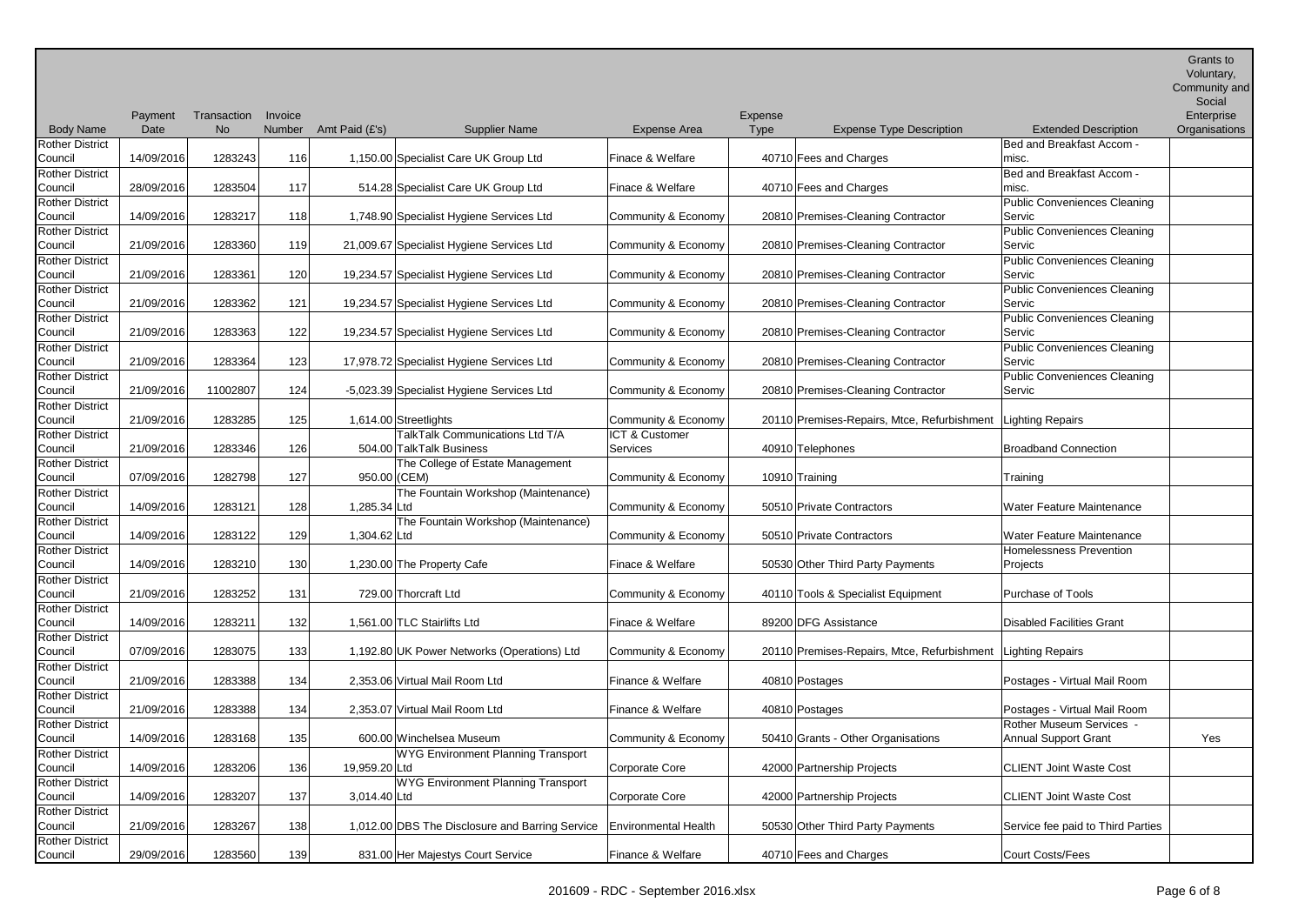Community and

|                                   |            |             |         |                |                                                          |                      |                |                                                                |                                   | Social        |
|-----------------------------------|------------|-------------|---------|----------------|----------------------------------------------------------|----------------------|----------------|----------------------------------------------------------------|-----------------------------------|---------------|
|                                   | Payment    | Transaction | Invoice |                |                                                          |                      | <b>Expense</b> |                                                                |                                   | Enterprise    |
| <b>Body Name</b>                  | Date       | No          | Number  | Amt Paid (£'s) | <b>Supplier Name</b>                                     | Expense Area         | <b>Type</b>    | <b>Expense Type Description</b>                                | <b>Extended Description</b>       | Organisations |
| <b>Rother District</b>            |            |             |         |                |                                                          |                      |                |                                                                | Bed and Breakfast Accom -         |               |
| Council                           | 14/09/2016 | 1283243     | 116     |                | 1,150.00 Specialist Care UK Group Ltd                    | Finace & Welfare     |                | 40710 Fees and Charges                                         | misc.                             |               |
| <b>Rother District</b>            |            |             |         |                |                                                          |                      |                |                                                                | Bed and Breakfast Accom -         |               |
| Council                           | 28/09/2016 | 1283504     | 117     |                | 514.28 Specialist Care UK Group Ltd                      | Finace & Welfare     |                | 40710 Fees and Charges                                         | misc.                             |               |
| <b>Rother District</b>            |            |             |         |                |                                                          |                      |                |                                                                | Public Conveniences Cleaning      |               |
| Council                           | 14/09/2016 | 1283217     | 118     |                | 1,748.90 Specialist Hygiene Services Ltd                 | Community & Economy  |                | 20810 Premises-Cleaning Contractor                             | Servic                            |               |
| <b>Rother District</b>            |            |             |         |                |                                                          |                      |                |                                                                | Public Conveniences Cleaning      |               |
| Council                           | 21/09/2016 | 1283360     | 119     |                | 21,009.67 Specialist Hygiene Services Ltd                | Community & Economy  |                | 20810 Premises-Cleaning Contractor                             | Servic                            |               |
| <b>Rother District</b>            |            |             |         |                |                                                          |                      |                |                                                                | Public Conveniences Cleaning      |               |
| Council                           | 21/09/2016 | 1283361     | 120     |                | 19,234.57 Specialist Hygiene Services Ltd                | Community & Economy  |                | 20810 Premises-Cleaning Contractor                             | Servic                            |               |
| <b>Rother District</b>            |            |             |         |                |                                                          |                      |                |                                                                | Public Conveniences Cleaning      |               |
| Council                           | 21/09/2016 | 1283362     | 121     |                | 19,234.57 Specialist Hygiene Services Ltd                | Community & Economy  |                | 20810 Premises-Cleaning Contractor                             | Servic                            |               |
| <b>Rother District</b>            | 21/09/2016 |             |         |                |                                                          |                      |                |                                                                | Public Conveniences Cleaning      |               |
| Council                           |            | 1283363     | 122     |                | 19,234.57 Specialist Hygiene Services Ltd                | Community & Economy  |                | 20810 Premises-Cleaning Contractor                             | Servic                            |               |
| <b>Rother District</b>            | 21/09/2016 |             |         |                |                                                          |                      |                |                                                                | Public Conveniences Cleaning      |               |
| Council                           |            | 1283364     | 123     |                | 17,978.72 Specialist Hygiene Services Ltd                | Community & Economy  |                | 20810 Premises-Cleaning Contractor                             | Servic                            |               |
| <b>Rother District</b><br>Council | 21/09/2016 | 11002807    | 124     |                |                                                          | Community & Economy  |                |                                                                | Public Conveniences Cleaning      |               |
|                                   |            |             |         |                | -5,023.39 Specialist Hygiene Services Ltd                |                      |                | 20810 Premises-Cleaning Contractor                             | Servic                            |               |
| <b>Rother District</b><br>Council | 21/09/2016 |             |         |                |                                                          | Community & Economy  |                |                                                                |                                   |               |
| <b>Rother District</b>            |            | 1283285     | 125     |                | 1,614.00 Streetlights<br>TalkTalk Communications Ltd T/A | ICT & Customer       |                | 20110 Premises-Repairs, Mtce, Refurbishment                    | Lighting Repairs                  |               |
| Council                           | 21/09/2016 | 1283346     | 126     |                | 504.00 TalkTalk Business                                 | Services             |                | 40910 Telephones                                               | <b>Broadband Connection</b>       |               |
| <b>Rother District</b>            |            |             |         |                |                                                          |                      |                |                                                                |                                   |               |
| Council                           | 07/09/2016 | 1282798     | 127     | 950.00 (CEM)   | The College of Estate Management                         | Community & Economy  |                |                                                                |                                   |               |
| <b>Rother District</b>            |            |             |         |                | The Fountain Workshop (Maintenance)                      |                      |                | 10910 Training                                                 | Training                          |               |
| Council                           | 14/09/2016 | 1283121     | 128     | 1,285.34 Ltd   |                                                          | Community & Economy  |                | 50510 Private Contractors                                      | Water Feature Maintenance         |               |
| <b>Rother District</b>            |            |             |         |                | The Fountain Workshop (Maintenance)                      |                      |                |                                                                |                                   |               |
| Council                           | 14/09/2016 | 1283122     | 129     | 1,304.62 Ltd   |                                                          | Community & Economy  |                | 50510 Private Contractors                                      | Water Feature Maintenance         |               |
| <b>Rother District</b>            |            |             |         |                |                                                          |                      |                |                                                                | Homelessness Prevention           |               |
| Council                           | 14/09/2016 | 1283210     | 130     |                | 1,230.00 The Property Cafe                               | Finace & Welfare     |                | 50530 Other Third Party Payments                               | Projects                          |               |
| <b>Rother District</b>            |            |             |         |                |                                                          |                      |                |                                                                |                                   |               |
| Council                           | 21/09/2016 | 1283252     | 131     |                | 729.00 Thorcraft Ltd                                     | Community & Economy  |                | 40110 Tools & Specialist Equipment                             | Purchase of Tools                 |               |
| <b>Rother District</b>            |            |             |         |                |                                                          |                      |                |                                                                |                                   |               |
| Council                           | 14/09/2016 | 1283211     | 132     |                | 1,561.00 TLC Stairlifts Ltd                              | Finace & Welfare     |                | 89200 DFG Assistance                                           | Disabled Facilities Grant         |               |
| <b>Rother District</b>            |            |             |         |                |                                                          |                      |                |                                                                |                                   |               |
| Council                           | 07/09/2016 | 1283075     | 133     |                | 1,192.80 UK Power Networks (Operations) Ltd              | Community & Economy  |                | 20110 Premises-Repairs, Mtce, Refurbishment   Lighting Repairs |                                   |               |
| <b>Rother District</b>            |            |             |         |                |                                                          |                      |                |                                                                |                                   |               |
| Council                           | 21/09/2016 | 1283388     | 134     |                | 2,353.06 Virtual Mail Room Ltd                           | Finance & Welfare    |                | 40810 Postages                                                 | Postages - Virtual Mail Room      |               |
| <b>Rother District</b>            |            |             |         |                |                                                          |                      |                |                                                                |                                   |               |
| Council                           | 21/09/2016 | 1283388     | 134     |                | 2,353.07 Virtual Mail Room Ltd                           | Finance & Welfare    |                | 40810 Postages                                                 | Postages - Virtual Mail Room      |               |
| <b>Rother District</b>            |            |             |         |                |                                                          |                      |                |                                                                | Rother Museum Services -          |               |
| Council                           | 14/09/2016 | 1283168     | 135     |                | 600.00 Winchelsea Museum                                 | Community & Economy  |                | 50410 Grants - Other Organisations                             | <b>Annual Support Grant</b>       | Yes           |
| <b>Rother District</b>            |            |             |         |                | <b>WYG Environment Planning Transport</b>                |                      |                |                                                                |                                   |               |
| Council                           | 14/09/2016 | 1283206     | 136     | 19,959.20 Ltd  |                                                          | Corporate Core       |                | 42000 Partnership Projects                                     | <b>CLIENT Joint Waste Cost</b>    |               |
| <b>Rother District</b>            |            |             |         |                | <b>WYG Environment Planning Transport</b>                |                      |                |                                                                |                                   |               |
| Council                           | 14/09/2016 | 1283207     | 137     | 3,014.40 Ltd   |                                                          | Corporate Core       |                | 42000 Partnership Projects                                     | <b>CLIENT Joint Waste Cost</b>    |               |
| <b>Rother District</b>            |            |             |         |                |                                                          |                      |                |                                                                |                                   |               |
| Council                           | 21/09/2016 | 1283267     | 138     |                | 1,012.00 DBS The Disclosure and Barring Service          | Environmental Health |                | 50530 Other Third Party Payments                               | Service fee paid to Third Parties |               |
| <b>Rother District</b>            |            |             |         |                |                                                          |                      |                |                                                                |                                   |               |
| Council                           | 29/09/2016 | 1283560     | 139     |                | 831.00 Her Majestys Court Service                        | Finance & Welfare    |                | 40710 Fees and Charges                                         | Court Costs/Fees                  |               |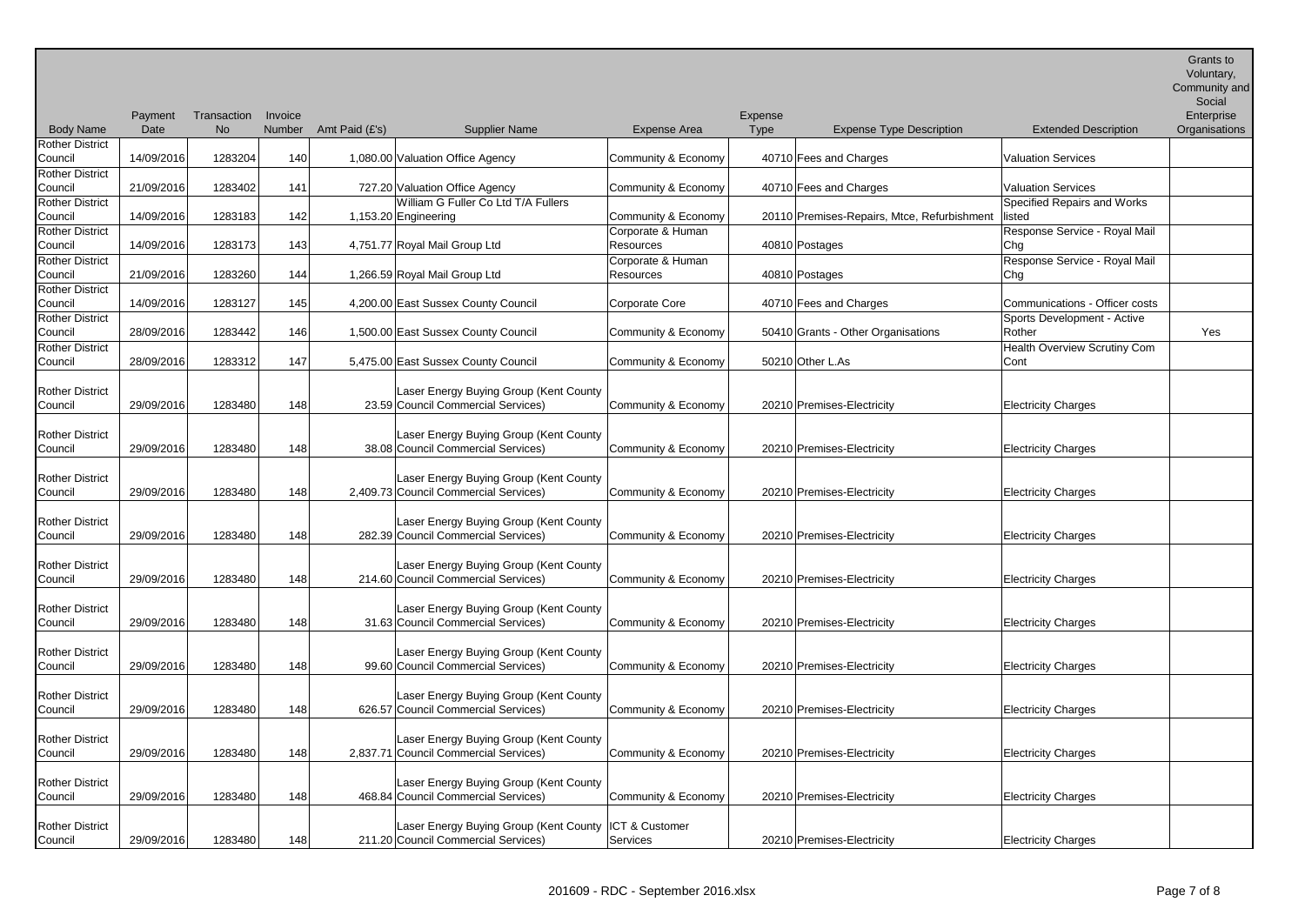Payment Date Transaction Invoice No Number Amt Paid (£'s) Supplier Name Expense Area Expense Type Expense Type Description Extended Description Voluntary, Community and Social Enterprise **Organisations** Council 14/09/2016 1283204 140 1,080.00 Valuation Office Agency Community & Economy 40710 Fees and Charges Valuation Services Council 21/09/2016 1283402 141 727.20 Valuation Office Agency Community & Economy 40710 Fees and Charges Valuation Services Council 14/09/2016 1283183 142 1,153.20 Engineering William G Fuller Co Ltd T/A Fullers Community & Economy 20110 Premises-Repairs, Mtce, Refurbishment Specified Repairs and Works listed Council 14/09/2016 1283173 143 4,751.77 Royal Mail Group Ltd Corporate & Human Resources 140810 Postages Response Service - Royal Mail Chg Council 21/09/2016 1283260 144 1,266.59 Royal Mail Group Ltd Corporate & Human Resources 140810 Postages Response Service - Royal Mail Chg Council 14/09/2016 1283127 145 4,200.00 East Sussex County Council Corporate Core 40710 Fees and Charges Communications - Officer costs Council | 28/09/2016 | 1283442 | 146 | 1,500.00 East Sussex County Council | Community & Economy | 50410 Grants - Other Organisations Sports Development - Active Rother **Yes** Council 28/09/2016 1283312 147 5,475.00 East Sussex County Council Community & Economy 50210 Other L.As Health Overview Scrutiny Com Cont Council 29/09/2016 1283480 148 Laser Energy Buying Group (Kent County 23.59 Council Commercial Services) Community & Economy 20210 Premises-Electricity Electricity Charges Council 29/09/2016 1283480 148 38.08 Council Commercial Services) Laser Energy Buying Group (Kent County Community & Economy 20210 Premises-Electricity Flectricity Electricity Charges Council 29/09/2016 1283480 148 2.409.73 Council Commercial Services) Laser Energy Buying Group (Kent County Community & Economy 20210 Premises-Electricity **Electricity Charges** Council 29/09/2016 1283480 148 282.39 Council Commercial Services) Laser Energy Buying Group (Kent County Community & Economy | 20210 Premises-Electricity | Electricity Charges Council 29/09/2016 1283480 148 Laser Energy Buying Group (Kent County 214.60 Council Commercial Services) Community & Economy 20210 Premises-Electricity Electricity Charges Council 29/09/2016 1283480 148 Laser Energy Buying Group (Kent County 31.63 Council Commercial Services) Community & Economy 20210 Premises-Electricity Electricity Charges Council | 29/09/2016 | 1283480 | 148 Laser Energy Buying Group (Kent County 99.60 Council Commercial Services) Community & Economy 20210 Premises-Electricity Electricity Charges Council 29/09/2016 1283480 148 626.57 Council Commercial Services) Laser Energy Buying Group (Kent County Community & Economy 20210 Premises-Electricity Electricity Electricity Charges Council 29/09/2016 1283480 148 2.837.71 Council Commercial Services) Laser Energy Buying Group (Kent County Community & Economy 20210 Premises-Electricity **Electricity Charges** Council 29/09/2016 1283480 148 Laser Energy Buying Group (Kent County 468.84 Council Commercial Services) Community & Economy | 20210 Premises-Electricity | Electricity Charges

Body Name

Rother District

Rother District

Rother District

Rother District

Rother District

Rother District

Rother District

Rother District

Rother District

Rother District

Rother District

Rother District

Rother District

Rother District

Rother District

Rother District

Rother District

Rother District

Rother District

Council | 29/09/2016 | 1283480 | 148

ICT & Customer

Services 20210 Premises-Electricity Electricity **Electricity Electricity** 

Laser Energy Buying Group (Kent County

211.20 Council Commercial Services)

Grants to